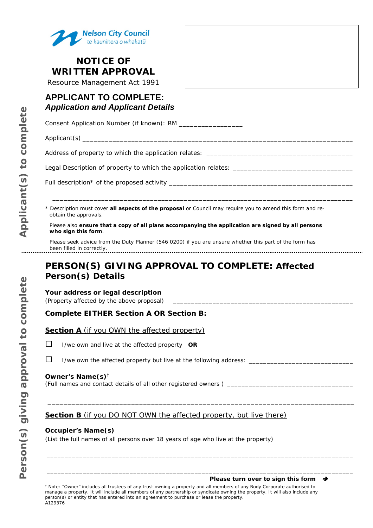

## **NOTICE OF WRITTEN APPROVAL**

Resource Management Act 1991

## **APPLICANT TO COMPLETE:**  *Application and Applicant Details*

Consent Application Number (if known): RM \_\_\_\_\_\_\_\_\_\_\_\_\_\_\_\_\_\_\_\_

Applicant(s) \_\_\_\_\_\_\_\_\_\_\_\_\_\_\_\_\_\_\_\_\_\_\_\_\_\_\_\_\_\_\_\_\_\_\_\_\_\_\_\_\_\_\_\_\_\_\_\_\_\_\_\_\_\_\_\_\_\_\_\_\_\_\_\_\_\_\_\_\_\_\_\_

Address of property to which the application relates: \_\_\_\_\_\_\_\_\_\_\_\_\_\_\_\_\_\_\_\_\_\_\_\_\_\_\_

Legal Description of property to which the application relates: \_\_\_\_\_\_\_\_\_\_\_\_\_\_\_\_

Full description\* of the proposed activity

\* Description must cover **all aspects of the proposal** or Council may require you to amend this form and reobtain the approvals.

\_\_\_\_\_\_\_\_\_\_\_\_\_\_\_\_\_\_\_\_\_\_\_\_\_\_\_\_\_\_\_\_\_\_\_\_\_\_\_\_\_\_\_\_\_\_\_\_\_\_\_\_\_\_\_\_\_\_\_\_\_\_\_\_\_\_\_\_\_\_\_\_\_\_\_\_\_\_\_\_

Please also **ensure that a copy of all plans accompanying the application are signed by all persons who sign this form**.

Please seek advice from the Duty Planner (546 0200) if you are unsure whether this part of the form has been filled in correctly.

# **PERSON(S) GIVING APPROVAL TO COMPLETE:** *Affected Person(s) Details*

## **Your address or legal description**

*(Property affected by the above proposal)* \_\_\_\_\_\_\_\_\_\_\_\_\_\_\_\_\_\_\_\_\_\_\_\_\_\_\_\_\_\_\_\_\_\_\_\_\_\_\_\_\_\_\_\_\_\_\_\_\_\_

## **Complete EITHER Section A OR Section B:**

### **Section A** (if you OWN the affected property)

- □ I/we own and live at the affected property **OR**
- $\square$  I/we own the affected property but live at the following address:  $\square$

### **Owner's Name(s)**†

*(Full names and contact details of all other registered owners ) \_\_\_\_\_\_\_\_\_\_\_\_\_\_\_\_\_\_\_\_\_\_\_\_\_\_\_\_\_\_\_\_\_\_\_*

## **Section B** (if you DO NOT OWN the affected property, but live there)

\_\_\_\_\_\_\_\_\_\_\_\_\_\_\_\_\_\_\_\_\_\_\_\_\_\_\_\_\_\_\_\_\_\_\_\_\_\_\_\_\_\_\_\_\_\_\_\_\_\_\_\_\_\_\_\_\_\_\_\_\_\_\_\_\_\_\_\_\_\_\_\_\_\_\_\_\_

\_\_\_\_\_\_\_\_\_\_\_\_\_\_\_\_\_\_\_\_\_\_\_\_\_\_\_\_\_\_\_\_\_\_\_\_\_\_\_\_\_\_\_\_\_\_\_\_\_\_\_\_\_\_\_\_\_\_\_\_\_\_\_\_\_\_\_\_\_\_\_\_\_\_\_\_\_\_\_\_\_\_\_\_\_

\_\_\_\_\_\_\_\_\_\_\_\_\_\_\_\_\_\_\_\_\_\_\_\_\_\_\_\_\_\_\_\_\_\_\_\_\_\_\_\_\_\_\_\_\_\_\_\_\_\_\_\_\_\_\_\_\_\_\_\_\_\_\_\_\_\_\_\_\_\_\_\_\_\_\_\_\_\_\_\_\_\_\_\_\_

### **Occupier's Name(s)**

*(List the full names of all persons over 18 years of age who live at the property)*

Person(s) giving approval to complete

*Please turn over to sign this form* 

† Note: "Owner" includes all trustees of any trust owning a property and all members of any Body Corporate authorised to manage a property. It will include all members of any partnership or syndicate owning the property. It will also include any person(s) or entity that has entered into an agreement to purchase or lease the property. A129376